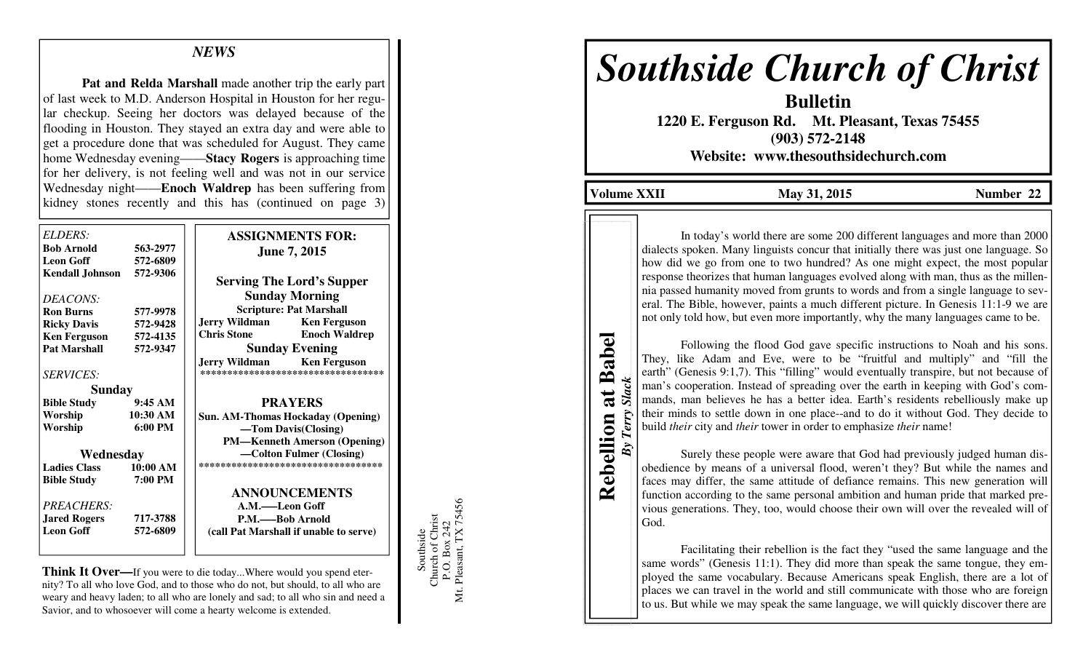## *NEWS*

**Pat and Relda Marshall** made another trip the early part of last week to M.D. Anderson Hospital in Houston for her regular checkup. Seeing her doctors was delayed because of the flooding in Houston. They stayed an extra day and were able to get a procedure done that was scheduled for August. They came home Wednesday evening——**Stacy Rogers** is approaching time for her delivery, is not feeling well and was not in our service Wednesday night——**Enoch Waldrep** has been suffering from kidney stones recently and this has (continued on page 3)

| ELDERS:<br><b>Bob Arnold</b><br><b>Leon Goff</b> | 563-2977<br>572-6809 | <b>ASSIGNMENTS FOR:</b><br><b>June 7, 2015</b>                    |
|--------------------------------------------------|----------------------|-------------------------------------------------------------------|
| <b>Kendall Johnson</b>                           | 572-9306             | <b>Serving The Lord's Supper</b><br><b>Sunday Morning</b>         |
| DEACONS:<br><b>Ron Burns</b>                     | 577-9978             | <b>Scripture: Pat Marshall</b>                                    |
| <b>Ricky Davis</b>                               | 572-9428             | <b>Jerry Wildman</b><br><b>Ken Ferguson</b>                       |
| <b>Ken Ferguson</b>                              | 572-4135             | <b>Chris Stone</b><br><b>Enoch Waldrep</b>                        |
| <b>Pat Marshall</b>                              | 572-9347             | <b>Sunday Evening</b>                                             |
| <b>SERVICES:</b>                                 |                      | Jerry Wildman Ken Ferguson<br>*********************************** |
| Sunday                                           |                      |                                                                   |
| <b>Bible Study</b>                               | 9:45AM               | <b>PRAYERS</b>                                                    |
| Worship                                          | 10:30 AM             | Sun. AM-Thomas Hockaday (Opening)                                 |
| Worship                                          | 6:00 PM              | -Tom Davis(Closing)                                               |
|                                                  |                      | <b>PM—Kenneth Amerson (Opening)</b>                               |
| Wednesday                                        |                      | -Colton Fulmer (Closing)                                          |
| <b>Ladies Class</b>                              | $10:00 \text{ AM}$   | ***********************************                               |
| <b>Bible Study</b>                               | 7:00 PM              |                                                                   |
|                                                  |                      | <b>ANNOUNCEMENTS</b>                                              |
| <b>PREACHERS:</b>                                |                      | A.M.-Leon Goff                                                    |
| <b>Jared Rogers</b>                              | 717-3788             | P.M.——Bob Arnold                                                  |
| <b>Leon Goff</b>                                 | 572-6809             | (call Pat Marshall if unable to serve)                            |
|                                                  |                      |                                                                   |

**Think It Over—**If you were to die today...Where would you spend eternity? To all who love God, and to those who do not, but should, to all who are weary and heavy laden; to all who are lonely and sad; to all who sin and need a Savior, and to whosoever will come a hearty welcome is extended.

Southside<br>Church of Christ<br>P.O. Box 242<br>Mt. Pleasant, TX 75456 Mt. Pleasant, TX 75456 Church of Christ P.O. Box 242 Southside

# *Southside Church of Christ*

**Bulletin 1220 E. Ferguson Rd. Mt. Pleasant, Texas 75455 (903) 572-2148 Website: www.thesouthsidechurch.com** 

**Volume XXII** May 31, 2015 **Number 22** 

In today's world there are some 200 different languages and more than 2000 dialects spoken. Many linguists concur that initially there was just one language. So how did we go from one to two hundred? As one might expect, the most popular response theorizes that human languages evolved along with man, thus as the millennia passed humanity moved from grunts to words and from a single language to several. The Bible, however, paints a much different picture. In Genesis 11:1-9 we are not only told how, but even more importantly, why the many languages came to be.

**Rebellion at Babel Rebellion at Babel** *By Terry Slack* **Slack** By Terry

 Following the flood God gave specific instructions to Noah and his sons. They, like Adam and Eve, were to be "fruitful and multiply" and "fill the earth" (Genesis 9:1,7). This "filling" would eventually transpire, but not because of man's cooperation. Instead of spreading over the earth in keeping with God's commands, man believes he has a better idea. Earth's residents rebelliously make up their minds to settle down in one place--and to do it without God. They decide to build *their* city and *their* tower in order to emphasize *their* name!

 Surely these people were aware that God had previously judged human disobedience by means of a universal flood, weren't they? But while the names and faces may differ, the same attitude of defiance remains. This new generation will function according to the same personal ambition and human pride that marked previous generations. They, too, would choose their own will over the revealed will of God.

 Facilitating their rebellion is the fact they "used the same language and the same words" (Genesis 11:1). They did more than speak the same tongue, they employed the same vocabulary. Because Americans speak English, there are a lot of places we can travel in the world and still communicate with those who are foreign to us. But while we may speak the same language, we will quickly discover there are